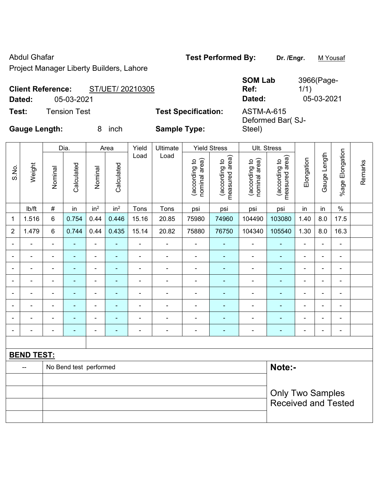Abdul Ghafar **Test Performed By:** Dr. /Engr. **M Yousaf** Test Performed By: Project Manager Liberty Builders, Lahore

**SOM Lab Ref:** 

3966(Page-

1/1)

**Dated:** 05-03-2021 **Dated:** 05-03-2021

| <b>Client Reference:</b> |                     | ST/UET/ 20210305 |                            | Ref:                              |  |  |
|--------------------------|---------------------|------------------|----------------------------|-----------------------------------|--|--|
| <b>Dated:</b>            | 05-03-2021          |                  |                            | Dated:                            |  |  |
| Test:                    | <b>Tension Test</b> |                  | <b>Test Specification:</b> | <b>ASTM-A-615</b><br>Deformed Bar |  |  |
| Gauge Length:            |                     | inch<br>8        | <b>Sample Type:</b>        | Steel)                            |  |  |

|                                  | <b>Gauge Length:</b><br>8<br>inch<br>Dia.<br>Area |                          |                |                 |                          |                          | <b>Sample Type:</b>      |                                |                                 | Steel)                         | Deformed Bar(SJ-                |                          |                          |                              |         |
|----------------------------------|---------------------------------------------------|--------------------------|----------------|-----------------|--------------------------|--------------------------|--------------------------|--------------------------------|---------------------------------|--------------------------------|---------------------------------|--------------------------|--------------------------|------------------------------|---------|
|                                  |                                                   |                          |                |                 |                          | Yield                    | Ultimate                 |                                | <b>Yield Stress</b>             |                                | Ult. Stress                     |                          |                          |                              |         |
| S.No.                            | Weight                                            | Nominal                  | Calculated     | Nominal         | Calculated               | Load                     | Load                     | nominal area)<br>(according to | measured area)<br>(according to | (according to<br>nominal area) | measured area)<br>(according to | Elongation               | Gauge Length             | %age Elongation              | Remarks |
|                                  | lb/ft                                             | $\#$                     | in             | in <sup>2</sup> | in <sup>2</sup>          | Tons                     | Tons                     | psi                            | psi                             | psi                            | psi                             | in                       | in                       | $\%$                         |         |
| $\mathbf{1}$                     | 1.516                                             | 6                        | 0.754          | 0.44            | 0.446                    | 15.16                    | 20.85                    | 75980                          | 74960                           | 104490                         | 103080                          | 1.40                     | 8.0                      | 17.5                         |         |
| $\overline{2}$                   | 1.479                                             | 6                        | 0.744          | 0.44            | 0.435                    | 15.14                    | 20.82                    | 75880                          | 76750                           | 104340                         | 105540                          | 1.30                     | 8.0                      | 16.3                         |         |
|                                  |                                                   |                          |                |                 | $\overline{\phantom{0}}$ |                          | $\overline{\phantom{0}}$ |                                |                                 |                                |                                 |                          |                          | $\overline{a}$               |         |
|                                  |                                                   |                          |                |                 | ۰                        |                          | $\blacksquare$           | $\qquad \qquad \blacksquare$   |                                 |                                |                                 |                          | $\blacksquare$           | $\qquad \qquad \blacksquare$ |         |
|                                  |                                                   | $\overline{\phantom{0}}$ |                | ۰               | ۰                        |                          | $\blacksquare$           |                                | ÷                               |                                | $\blacksquare$                  | $\blacksquare$           | $\blacksquare$           | $\blacksquare$               |         |
| $\overline{\phantom{a}}$         | $\overline{\phantom{a}}$                          | $\blacksquare$           | $\blacksquare$ | ۰               | $\overline{\phantom{0}}$ | $\overline{\phantom{0}}$ | $\overline{\phantom{0}}$ | $\qquad \qquad \blacksquare$   | $\overline{a}$                  | $\overline{a}$                 | $\blacksquare$                  | $\overline{\phantom{a}}$ | $\blacksquare$           | $\blacksquare$               |         |
|                                  |                                                   |                          |                |                 | ۰                        |                          |                          |                                |                                 |                                |                                 |                          | $\blacksquare$           | -                            |         |
|                                  |                                                   |                          |                |                 | ۰                        |                          | $\overline{a}$           |                                |                                 |                                |                                 | $\overline{\phantom{a}}$ |                          | $\qquad \qquad \blacksquare$ |         |
|                                  |                                                   |                          |                |                 |                          |                          |                          |                                |                                 |                                |                                 |                          | $\overline{\phantom{0}}$ | $\blacksquare$               |         |
|                                  |                                                   |                          |                |                 | ۰                        | $\overline{\phantom{a}}$ | $\overline{\phantom{a}}$ | $\qquad \qquad \blacksquare$   | ٠                               | $\overline{a}$                 | $\overline{\phantom{0}}$        | $\blacksquare$           | $\blacksquare$           | $\qquad \qquad \blacksquare$ |         |
|                                  |                                                   |                          |                |                 |                          |                          |                          |                                |                                 |                                |                                 |                          |                          |                              |         |
|                                  | <b>BEND TEST:</b>                                 |                          |                |                 |                          |                          |                          |                                |                                 |                                |                                 |                          |                          |                              |         |
| Note:-<br>No Bend test performed |                                                   |                          |                |                 |                          |                          |                          |                                |                                 |                                |                                 |                          |                          |                              |         |

Only Two Samples

Received and Tested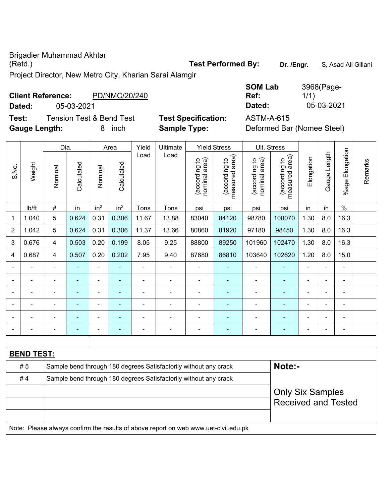Brigadier Muhammad Akhtar (Retd.) **Test Performed By: Dr. /Engr.** S, Asad Ali Gillani

Project Director, New Metro City, Kharian Sarai Alamgir

# **Client Reference:** PD/NMC/20/240 **Dated:** 05-03-2021 **Dated:** 05-03-2021

**Test:** Tension Test & Bend Test **Test Specification:** ASTM-A-615 **Gauge Length:** 8 inch **Sample Type:** Deformed Bar (Nomee Steel)

| <b>SOM Lab</b> | 3968(Page- |
|----------------|------------|
| Ref:           | 1/1)       |
| Dated:         | 05-03-2021 |

|                |                   |                | Dia.           |                 | Area            | Yield                    | Ultimate                                                                            |                                | <b>Yield Stress</b>                                   | Ult. Stress                    |                                 |                |                |                          |         |
|----------------|-------------------|----------------|----------------|-----------------|-----------------|--------------------------|-------------------------------------------------------------------------------------|--------------------------------|-------------------------------------------------------|--------------------------------|---------------------------------|----------------|----------------|--------------------------|---------|
| S.No.          | Weight            | Nominal        | Calculated     | Nominal         | Calculated      | Load                     | Load                                                                                | (according to<br>nominal area) | measured area)<br>(according to                       | (according to<br>nominal area) | (according to<br>measured area) | Elongation     | Gauge Length   | Elongation<br>%age F     | Remarks |
|                | Ib/ft             | $\#$           | in             | in <sup>2</sup> | in <sup>2</sup> | Tons                     | Tons                                                                                | psi                            | psi                                                   | psi                            | psi                             | in             | in             | $\frac{0}{0}$            |         |
| 1              | 1.040             | 5              | 0.624          | 0.31            | 0.306           | 11.67                    | 13.88                                                                               | 83040                          | 84120                                                 | 98780                          | 100070                          | 1.30           | 8.0            | 16.3                     |         |
| $\overline{2}$ | 1.042             | 5              | 0.624          | 0.31            | 0.306           | 11.37                    | 13.66                                                                               | 80860                          | 81920                                                 | 97180                          | 98450                           | 1.30           | 8.0            | 16.3                     |         |
| 3              | 0.676             | 4              | 0.503          | 0.20            | 0.199           | 8.05                     | 9.25                                                                                | 88800                          | 89250                                                 | 101960                         | 102470                          | 1.30           | 8.0            | 16.3                     |         |
| 4              | 0.687             | 4              | 0.507          | 0.20            | 0.202           | 7.95                     | 9.40                                                                                | 87680                          | 86810                                                 | 103640                         | 102620                          | 1.20           | 8.0            | 15.0                     |         |
|                | $\blacksquare$    | $\blacksquare$ | $\blacksquare$ | ä,              | ۰               | $\blacksquare$           | $\blacksquare$                                                                      | ÷                              | $\blacksquare$                                        | $\overline{a}$                 | ٠                               | $\blacksquare$ | $\blacksquare$ | $\overline{\phantom{0}}$ |         |
|                | $\blacksquare$    | $\blacksquare$ | ÷,             | ä,              | ٠               | $\overline{\phantom{a}}$ | $\blacksquare$                                                                      | $\blacksquare$                 | $\blacksquare$                                        | $\overline{a}$                 | $\blacksquare$                  | $\blacksquare$ | $\blacksquare$ | $\blacksquare$           |         |
|                | $\blacksquare$    | $\blacksquare$ | $\blacksquare$ | ä,              | ٠               | $\blacksquare$           | $\blacksquare$                                                                      | $\blacksquare$                 | $\blacksquare$                                        | $\blacksquare$                 | $\blacksquare$                  | $\blacksquare$ |                | ۰                        |         |
|                |                   |                |                |                 | ٠               |                          |                                                                                     | $\blacksquare$                 |                                                       |                                | $\blacksquare$                  |                |                | $\overline{a}$           |         |
|                |                   |                |                |                 |                 |                          |                                                                                     |                                |                                                       |                                |                                 |                |                | $\overline{a}$           |         |
|                |                   |                | $\blacksquare$ | ÷               | ۰               | $\blacksquare$           | Ē,                                                                                  | $\blacksquare$                 | $\blacksquare$                                        | $\blacksquare$                 | $\blacksquare$                  | $\blacksquare$ | $\blacksquare$ | ۰                        |         |
|                |                   |                |                |                 |                 |                          |                                                                                     |                                |                                                       |                                |                                 |                |                |                          |         |
|                | <b>BEND TEST:</b> |                |                |                 |                 |                          |                                                                                     |                                |                                                       |                                |                                 |                |                |                          |         |
|                | #5                |                |                |                 |                 |                          | Sample bend through 180 degrees Satisfactorily without any crack                    |                                |                                                       |                                | Note:-                          |                |                |                          |         |
|                | #4                |                |                |                 |                 |                          | Sample bend through 180 degrees Satisfactorily without any crack                    |                                |                                                       |                                |                                 |                |                |                          |         |
|                |                   |                |                |                 |                 |                          |                                                                                     |                                | <b>Only Six Samples</b><br><b>Received and Tested</b> |                                |                                 |                |                |                          |         |
|                |                   |                |                |                 |                 |                          | Note: Please always confirm the results of above report on web www.uet-civil.edu.pk |                                |                                                       |                                |                                 |                |                |                          |         |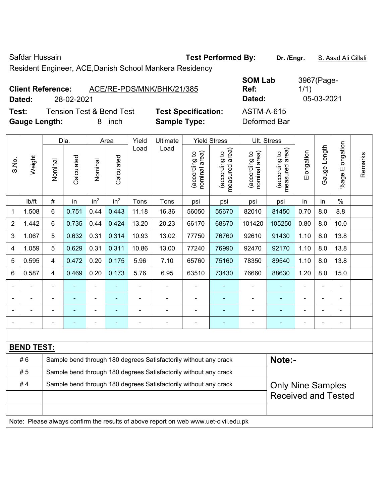| Safdar Hussain           |                                                         | <b>Test Performed By:</b> |                | Dr. /Engr. | S. Asad Ali Gillali |
|--------------------------|---------------------------------------------------------|---------------------------|----------------|------------|---------------------|
|                          | Resident Engineer, ACE, Danish School Mankera Residency |                           |                |            |                     |
|                          |                                                         |                           | <b>SOM Lab</b> |            | 3967(Page-          |
| <b>Client Reference:</b> | ACE/RE-PDS/MNK/BHK/21/385                               |                           | Ref:           | 1/1)       |                     |

| Daleu.               | ZO-UZ-ZUZ I |                                     |                            | Dalcu.       |
|----------------------|-------------|-------------------------------------|----------------------------|--------------|
| Test:                |             | <b>Tension Test &amp; Bend Test</b> | <b>Test Specification:</b> | ASTM-A-615   |
| <b>Gauge Length:</b> |             | 8 inch                              | <b>Sample Type:</b>        | Deformed Bar |

| <b>Client Reference:</b> |            | ACE/RE-PDS/MNK/BHK/21/385 | <b>SOM LAD</b><br>Ref: | $396$ (Page-<br>1/1) |
|--------------------------|------------|---------------------------|------------------------|----------------------|
| Dated:                   | 28-02-2021 |                           | Dated:                 | 05-03-2021           |

Only Nine Samples Received and Tested

|                |                   |                                                                  | Dia.       |                 | Area            | Yield                    | Ultimate                                                         |                                | <b>Yield Stress</b>             |                                | Ult. Stress                                 |                |                          |                          |         |
|----------------|-------------------|------------------------------------------------------------------|------------|-----------------|-----------------|--------------------------|------------------------------------------------------------------|--------------------------------|---------------------------------|--------------------------------|---------------------------------------------|----------------|--------------------------|--------------------------|---------|
| S.No.          | Weight            | Nominal                                                          | Calculated | Nominal         | Calculated      | Load                     | Load                                                             | nominal area)<br>(according to | (according to<br>measured area) | nominal area)<br>(according to | (according to<br>neasured area)<br>measured | Elongation     | Gauge Length             | Elongation<br>$%$ age    | Remarks |
|                | Ib/ft             | $\#$                                                             | in         | in <sup>2</sup> | in <sup>2</sup> | Tons                     | Tons                                                             | psi                            | psi                             | psi                            | psi                                         | in             | in                       | $\%$                     |         |
| 1              | 1.508             | $6\phantom{1}$                                                   | 0.751      | 0.44            | 0.443           | 11.18                    | 16.36                                                            | 56050                          | 55670                           | 82010                          | 81450                                       | 0.70           | 8.0                      | 8.8                      |         |
| $\overline{2}$ | 1.442             | $6\phantom{1}$                                                   | 0.735      | 0.44            | 0.424           | 13.20                    | 20.23                                                            | 66170                          | 68670                           | 101420                         | 105250                                      | 0.80           | 8.0                      | 10.0                     |         |
| 3              | 1.067             | 5                                                                | 0.632      | 0.31            | 0.314           | 10.93                    | 13.02                                                            | 77750                          | 76760                           | 92610                          | 91430                                       | 1.10           | 8.0                      | 13.8                     |         |
| 4              | 1.059             | 5                                                                | 0.629      | 0.31            | 0.311           | 10.86                    | 13.00                                                            | 77240                          | 76990                           | 92470                          | 92170                                       | 1.10           | 8.0                      | 13.8                     |         |
| 5              | 0.595             | 4                                                                | 0.472      | 0.20            | 0.175           | 5.96                     | 7.10                                                             | 65760                          | 75160                           | 78350                          | 89540                                       | 1.10           | 8.0                      | 13.8                     |         |
| 6              | 0.587             | 4                                                                | 0.469      | 0.20            | 0.173           | 5.76                     | 6.95                                                             | 63510                          | 73430                           | 76660                          | 88630                                       | 1.20           | 8.0                      | 15.0                     |         |
|                |                   |                                                                  |            | $\overline{a}$  |                 | $\blacksquare$           |                                                                  |                                |                                 |                                | ٠                                           |                | $\blacksquare$           |                          |         |
|                |                   |                                                                  |            | ۰               |                 | -                        |                                                                  | $\blacksquare$                 |                                 |                                |                                             |                | $\blacksquare$           |                          |         |
|                |                   |                                                                  |            | ۰               |                 |                          |                                                                  |                                |                                 |                                | $\blacksquare$                              |                |                          |                          |         |
|                |                   | $\overline{\phantom{0}}$                                         | ۰          | $\blacksquare$  | $\blacksquare$  | $\overline{\phantom{0}}$ | $\overline{\phantom{0}}$                                         | $\overline{a}$                 | ۰                               | $\overline{\phantom{0}}$       | $\overline{\phantom{0}}$                    | $\blacksquare$ | $\overline{\phantom{0}}$ | $\overline{\phantom{0}}$ |         |
|                |                   |                                                                  |            |                 |                 |                          |                                                                  |                                |                                 |                                |                                             |                |                          |                          |         |
|                | <b>BEND TEST:</b> |                                                                  |            |                 |                 |                          |                                                                  |                                |                                 |                                |                                             |                |                          |                          |         |
|                | #6                |                                                                  |            |                 |                 |                          | Sample bend through 180 degrees Satisfactorily without any crack |                                |                                 |                                | Note:-                                      |                |                          |                          |         |
|                | #5                | Sample bend through 180 degrees Satisfactorily without any crack |            |                 |                 |                          |                                                                  |                                |                                 |                                |                                             |                |                          |                          |         |

#4 Sample bend through 180 degrees Satisfactorily without any crack

Note: Please always confirm the results of above report on web www.uet-civil.edu.pk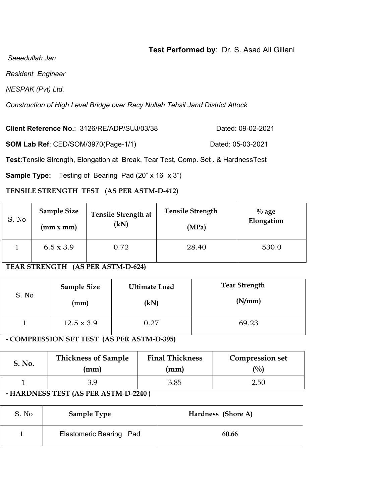## **Test Performed by**: Dr. S. Asad Ali Gillani

 *Saeedullah Jan* 

*Resident Engineer* 

*NESPAK (Pvt) Ltd.* 

*Construction of High Level Bridge over Racy Nullah Tehsil Jand District Attock* 

**Client Reference No.:** 3126/RE/ADP/SUJ/03/38 Dated: 09-02-2021

**SOM Lab Ref**: CED/SOM/3970(Page-1/1) Dated: 05-03-2021

**Test:**Tensile Strength, Elongation at Break, Tear Test, Comp. Set . & HardnessTest

**Sample Type:** Testing of Bearing Pad (20" x 16" x 3")

### **TENSILE STRENGTH TEST (AS PER ASTM-D-412)**

| S. No | <b>Sample Size</b> | <b>Tensile Strength at</b> | <b>Tensile Strength</b> | $\%$ age   |
|-------|--------------------|----------------------------|-------------------------|------------|
|       | (mm x mm)          | (kN)                       | (MPa)                   | Elongation |
|       | $6.5 \times 3.9$   | 0.72                       | 28.40                   | 530.0      |

#### **TEAR STRENGTH (AS PER ASTM-D-624)**

| S. No | <b>Sample Size</b><br>(mm) | <b>Ultimate Load</b><br>(kN) | <b>Tear Strength</b><br>(N/mm) |
|-------|----------------------------|------------------------------|--------------------------------|
|       | $12.5 \times 3.9$          | 0.27                         | 69.23                          |
|       |                            |                              |                                |

**- COMPRESSION SET TEST (AS PER ASTM-D-395)** 

| S. No. | <b>Thickness of Sample</b> | <b>Final Thickness</b> | <b>Compression set</b> |
|--------|----------------------------|------------------------|------------------------|
|        | mm)                        | (mm)                   | $\binom{0}{0}$         |
|        | 39                         | 3.85                   | 2.50                   |

**- HARDNESS TEST (AS PER ASTM-D-2240 )** 

| S. No | <b>Sample Type</b>      | Hardness (Shore A) |
|-------|-------------------------|--------------------|
|       | Elastomeric Bearing Pad | 60.66              |